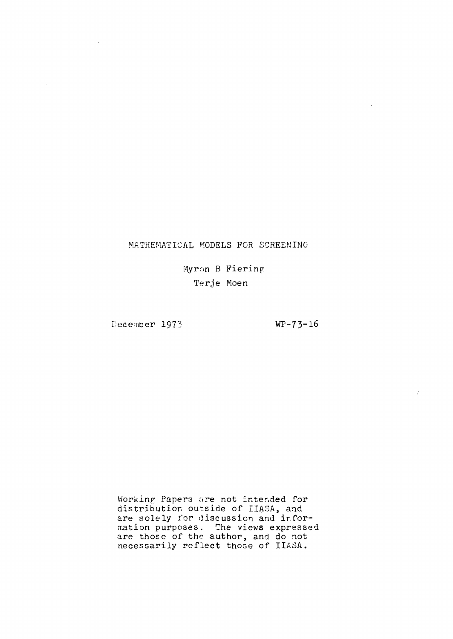# MATHEMATICAL MODELS FOR SCREENING

Myron B Fiering Terje Moen

December 1973

 $\bar{z}$ 

 $WP-73-16$ 

 $\mathcal{F}$ 

Workinp Papers are not intended for distribution outside of IIASA, and are solely for discussion and information purposes. The views expressed are those of the author, and do not necessarily reflect those of IIASA.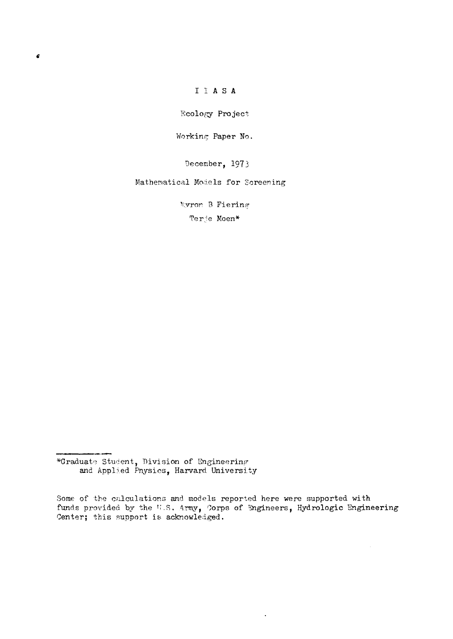# I I A S A

Ecology Project

Working Paper No.

December, 1973

### Mathematical Models for Screening

Myron B Fiering

Terje Moen\*

 $\ddot{\phantom{a}}$ 

<sup>\*</sup>Graduate Student, Division of Engineering<br>and Applied Physics, Harvard University

Some of the calculations and models reported here were supported with funds provided by the W.S. Army, Corps of Engineers, Hydrologic Engineering Center; this support is acknowledged.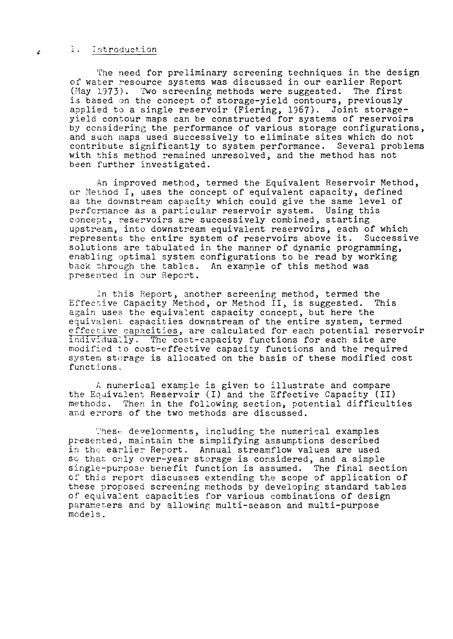#### .i. introduction

The need for preliminary screening techniques in the design of water resource systems was discussed in our earlier Report (May 1973). Two screening methods were suggested. The first is based on the concept of storage-yield contours, previously applied to a single reservoir (Fiering, 1967). Joint storageyield contour maps can be constructed for systems of reservoirs by considering the performance of various storage configurations, and such maps used successively to eliminate sites which do not contribute significantly to system performance. Several problems with this method remained unresolved, and the method has not been further investigated.

An improved method, termed the Equivalent Reservoir Method, or Method I, uses the concept of equivalent capacity, defined as the downstream capacity which could give the same level of performance as a particular reservoir system. Using this concept, reservoirs are successively combined, starting upstream, into downstream equivalent reservoirs, each of which represents the entire system of reservoirs above it. Successive solutions are tabulated in the manner of dynamic programming, enabling optimal system configurations to be read by working back through the tables. An example of this method was presented in our Report.

In this Report, another screening method, termed the<br>tive Capacity Method, or Method II, is suggested. This Effective Capacity Method, or Method  $II$ , is suggested. again uses the equivalent capacity concept, but here the equivalent capacities downstream of the entire system, termed effective capacities, are calculated for each potential reservoir individually. The cost-capacity functions for each site are modified to cost-effective capacity functions and the required system storage is allocated on the basis of these modified cost functions.

A numerical example is given to illustrate and compare the Equivalent Reservoir  $(I)$  and the Effective Capacity  $(II)$ methods. Then in the following section, potential difficulties and errors of the two methods are discussed.

These developments, including the numerical examples presented, maintain the simplifying assumptions described in the earlier Report. Annual streamflow values are used se that only over-year storage is considered, and a simple single-purpose benefit function is assumed. The final section of this report discusses extending the scope of application of these proposed screening methods by developing standard tables of equivalent capacities for various combinations of design parameters and by allowing multi-season and multi-purpose models.

k.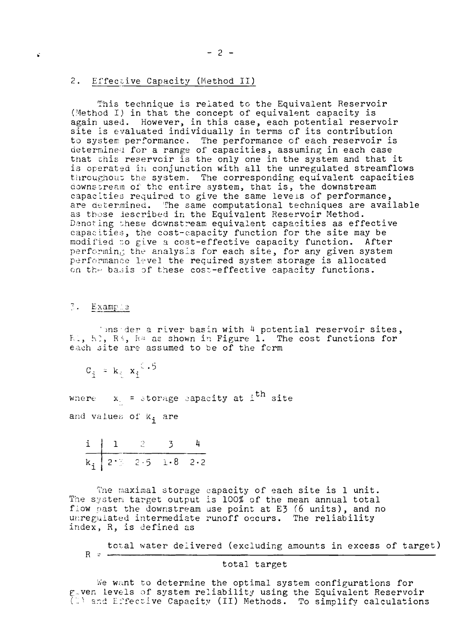#### 2. Effective Capacity (Method II)

This technique is related to the Equivalent Reservoir (Method I) in that the concept of equivalent capacity is again used. However, in this case, each potential reservoir site is evaluated individually in terms of its contribution to system performance. The performance of each reservoir is<br>determined for a range of capacities, assuming in each case that this reservoir is the only one in the system and that it is operated in conjunction with all the unregulated streamflows throughout the system. The corresponding equivalent capacities downstream of the entire system, that is, the downstream capacities required to give the same levels of performance, are determined. The same computational techniques are available as those lescribed in the Equivalent Reservoir Method. Denoting these downstream equivalent capacities as effective capacities, the cost-capacity function for the site may be modified to give a cost-effective capacity function. After performing the analysis for each site, for any given system performance level the required system storage is allocated on the basis of these cost-effective capacity functions.

### 3. Example

binsider a river basin with 4 potential reservoir sites, El, El, R<sup>5</sup>, R<sup>4</sup> as shown in Figure 1. The cost functions for each site are assumed to be of the form

$$
c_{\mathbf{i}} = k_{\mathbf{i}} \cdot x_{\mathbf{i}}^{\mathbf{i} + 5}
$$

where  $x_1 =$  storage eapacity at i<sup>th</sup> site

and values of k; are

$$
\begin{array}{c|cccc}\n\text{i} & 1 & 2 & 3 & 4 \\
\hline\nk_1 & 2 \cdot 3 & 2 \cdot 5 & 1 \cdot 8 & 2 \cdot 2\n\end{array}
$$

The maximal storage capacity of each site is 1 unit.<br>The system target output is 100% of the mean annual total flow past the downstream use point at E3 (6 units), and no unregulated intermediate runoff occurs. The reliability index, R, is defined as

$$
R = \frac{\text{total water delivered (excluding amounts in excess of target)}}{}
$$

### total target

We want to determine the optimal system configurations for g ven levels of system reliability using the Equivalent Reservoir<br>(1) and Effective Capacity (II) Methods. To simplify calculations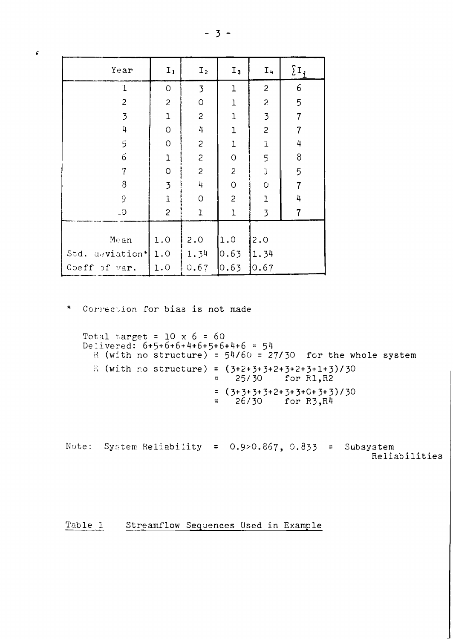| $\hat{\bullet}$ |                 |                |                |                |                          |                |
|-----------------|-----------------|----------------|----------------|----------------|--------------------------|----------------|
|                 | Year            | $I_1$          | I <sub>2</sub> | $I_3$          | $I_{+}$                  | $\sum_{i}$     |
|                 | $\mathbf 1$     | 0              | $\overline{3}$ | $\mathbf 1$    | $\overline{c}$           | 6              |
|                 | $\overline{c}$  | $\overline{c}$ | $\hbox{O}$     | $\mathbf{1}$   | $\overline{c}$           | 5              |
|                 | $\overline{3}$  | $\mathbf{1}$   | $\overline{c}$ | $\mathbf 1$    | $\overline{3}$           | $\overline{7}$ |
|                 | 4               | $\mathsf O$    | 4              | $\mathbf{1}$   | $\overline{c}$           | $\overline{7}$ |
|                 | $\overline{5}$  | $\hbox{O}$     | $\mathbf{S}$   | $\mathbf{1}$   | $\mathbf 1$              | 4              |
|                 | 6               | $\mathbf{1}$   | $\overline{c}$ | $\circ$        | 5                        | 8              |
|                 | $\overline{7}$  | $\circ$        | $\overline{c}$ | $\overline{c}$ | J.                       | 5              |
|                 | 8               | $\overline{3}$ | 4              | $\mathsf O$    | $\overline{O}$           | $\overline{7}$ |
|                 | 9               | $\mathbf{1}$   | $\circ$        | $\overline{c}$ | $\mathbf 1$              | 4              |
|                 | $\_O$           | $\overline{c}$ | $\mathbf{I}$   | 1              | $\overline{\mathcal{L}}$ | $\overline{7}$ |
|                 |                 |                |                |                |                          |                |
|                 | Mean            | 1.0            | 2.0            | 1.0            | 2.0                      |                |
|                 | Std. deviation* | 1.0            | 1.34           | 0.63           | 1.34                     |                |
|                 | Coeff of var.   | 1.0            | 0.67           | 0.63           | 0.67                     |                |

\* Correction for bias is not made

```
Total target = 10 \times 6 = 60<br>Delivered: 6+5+6+6+4+6+5+6+4+6 = 54R (with no structure) = 54/60 = 27/30 for the whole system
  R (with no structure) = (3+2+3+3+2+3+2+3+1+3)/3025/30 for R1, R2
                              \Xi= (3+3+3+3+2+3+3+0+3+3)/30<br>= 26/30 for R3,R4
```
Note: System Reliability =  $0.9$ >0.867, 0.833 = Subsystem Reliabilities

Table 1 Streamflow Sequences Used in Example

# $-3-$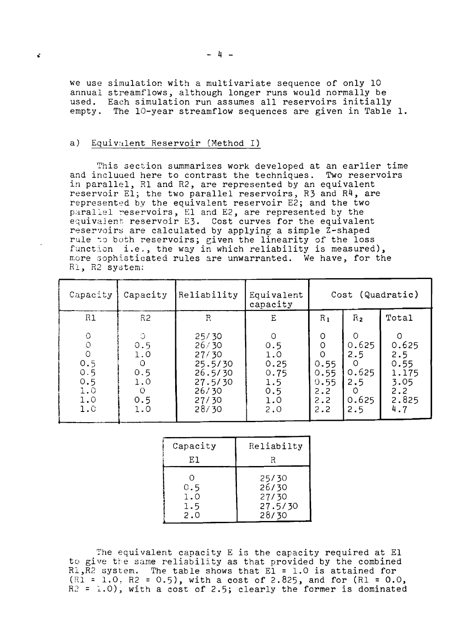we use simulatiop. with a multivariate sequence of only 10 annual streamflows, although longer runs would normally be used. empty. Each simulation run assumes all reservoirs initially The lO-year streamflow sequences are given in Table **1.**

### a) Equivalent Reservoir (Method I)

¢

This section summarizes work developed at an earlier time and included here to contrast the techniques. Two reservoirs in parallel, Rl and R2, are represented by an equivalent reservoir El; the two parallel reservoirs, R3 and R4, are represented by the equivalent reservoir E2; and the two parallel reservoirs, El and E2, are represented by the equivalent reservoir E3. Cost curves for the equivalent reservoirs are calculated by applying a simple Z-shaped rule to both reservoirs; given the linearity of the loss function i.e., the way in which reliability is measured), more sophisticated rules are unwarranted. We have, for the Rl, R2 system:

| Capacity                                                                            | Capacity                                                                                                                                                                  | Reliability  | Equivalent<br>capacity                                             | Cost (Quadratic)                                                            |                                                                           |                                                                          |  |
|-------------------------------------------------------------------------------------|---------------------------------------------------------------------------------------------------------------------------------------------------------------------------|--------------|--------------------------------------------------------------------|-----------------------------------------------------------------------------|---------------------------------------------------------------------------|--------------------------------------------------------------------------|--|
| R1                                                                                  | R <sub>2</sub>                                                                                                                                                            | $\mathbb{R}$ | E                                                                  | $R_1$                                                                       | $R_{2}$                                                                   | Total                                                                    |  |
| $\circ$<br>$\circlearrowright$<br>$\circ$<br>0.5<br>0.5<br>0.5<br>1.0<br>1.0<br>1.0 | $\circlearrowleft$<br>25/30<br>26/30<br>0.5<br>1.0<br>27/30<br>$\circ$<br>25.5/30<br>0.5<br>26.5/30<br>1.0<br>27.5/30<br>26/30<br>$\circ$<br>0.5<br>27/30<br>28/30<br>1.0 |              | $\Omega$<br>0.5<br>1.0<br>0.25<br>0.75<br>1.5<br>0.5<br>1.0<br>2.0 | $\circ$<br>$\circ$<br>$\Omega$<br>0.55<br>0.55<br>0.55<br>2.2<br>2.2<br>2.2 | O<br>0.625<br>2.5<br>$\Omega$<br>0.625<br>2.5<br>$\Omega$<br>0.625<br>2.5 | $\Omega$<br>0.625<br>2.5<br>0.55<br>1.175<br>3.05<br>2.2<br>2.825<br>4.7 |  |

| Capacity                 | Reliabilty                                  |  |  |  |
|--------------------------|---------------------------------------------|--|--|--|
| E1.                      | R                                           |  |  |  |
| 0.5<br>1.0<br>1.5<br>2.0 | 25/30<br>26/30<br>27/30<br>27.5/30<br>28/30 |  |  |  |

The equivalent capacity E is the capacity required at El to give the same reliability as that provided by the combined Rl, R2 system. The table shows that El = 1.0 is attained for  $(R1 = 1.0, R2 = 0.5)$ , with a cost of 2.825, and for  $(R1 = 0.0,$  $R2 = 1.0$ , with a cost of 2.5; clearly the former is dominated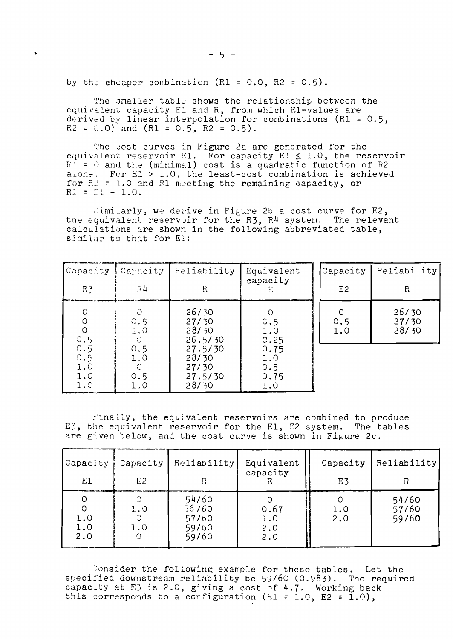by the cheaper combination (R1 =  $0.0$ , R2 =  $0.5$ ).

The smaller table shows the relationship between the equivalent capacity El and R, from which El-values are derived by linear interpolation for combinations (R1 = 0.5,<br>R2 = 0.0) and (R1 = 0.5, R2 = 0.5).

The cost curves in Figure 2a are generated for the equivalent reservoir E1. For capacity E1  $\leq$  1.0, the reservoir<br>  $F1 = 0$  and the (minimal) cost is a quadratic function of R2<br>
alone. For E1 > 1.0, the least-cost combination is achieved for  $R^2$  = 1.0 and R1 meeting the remaining capacity, or  $R1 = E1 - 1.0.$ 

 $\text{Limit}$ , we derive in Figure 2b a cost curve for E2, the equivalent reservoir for the R3, R4 system. The relevant calculations are shown in the following abbreviated table. similar to that for El:

| Capacity<br>R <sub>3</sub>                                              | Capacity<br>R4                | Reliability<br>R                              | Equivalent<br>capacity            | Capacity<br>E <sub>2</sub> | Reliability<br>R        |
|-------------------------------------------------------------------------|-------------------------------|-----------------------------------------------|-----------------------------------|----------------------------|-------------------------|
| 0<br>O<br>O<br>0.5                                                      | 0.5<br>1.0<br>О               | 26/30<br>27/30<br>28/30<br>26.5/30            | 0.5<br>1.0<br>0.25                | 0.5<br>1.0                 | 26/30<br>27/30<br>28/30 |
| 0.5<br>0.5<br>$\begin{smallmatrix} 1.0 \\ 1.0 \end{smallmatrix}$<br>1.0 | 0.5<br>1.0<br>O<br>0.5<br>1.0 | 27.5/30<br>28/30<br>27/30<br>27.5/30<br>28/30 | 0.75<br>1.0<br>0.5<br>0.75<br>1.0 |                            |                         |

Finally, the equivalent reservoirs are combined to produce E3, the equivalent reservoir for the E1, E2 system. The tables are given below, and the cost curve is shown in Figure 2c.

| Capacity               | Capacity   | Reliability                               | Equivalent                | Capacity   | Reliability             |
|------------------------|------------|-------------------------------------------|---------------------------|------------|-------------------------|
| E1                     | E2         |                                           | capacity                  | E3         | R                       |
| O<br>1.0<br>1.0<br>2.0 | 1.0<br>1.0 | 54/60<br>56/60<br>57/60<br>59/60<br>59/60 | 0.67<br>1.0<br>2.0<br>2.0 | 1.0<br>2.0 | 54/60<br>57/60<br>59/60 |

Consider the following example for these tables. Let the specified downstream reliability be 59/60 (0.983). The required capacity at E3 is 2.0, giving a cost of 4.7. Working back this corresponds to a configuration (E1 = 1.0, E2 = 1.0),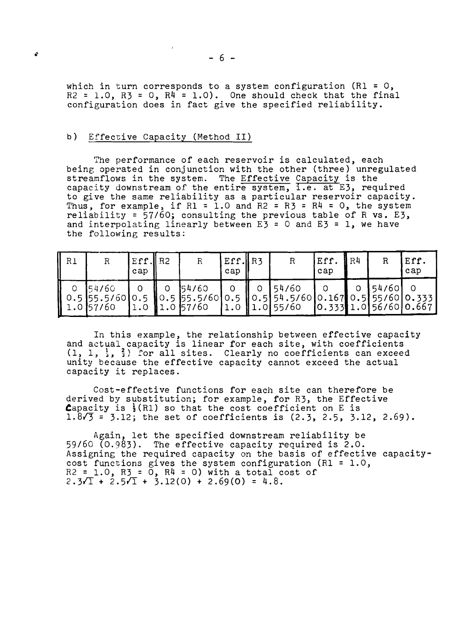which in turn corresponds to a system configuration (R1 =  $0$ ,  $R2 = 1.0$ ,  $R3 = 0$ ,  $R4 = 1.0$ ). One should check that the final configuration does in fact give the specified reliability.

### b) Effective Capacity (Method II)

The performance of each reservoir is calculated, each being operated in conjunction with the other (three) unregulated streamflows in the system. The Effective Capacity is the capacity downstream of the entire system, i.e. at E3, required to give the same reliability as a particular reservoir capacity. Thus, for example, if  $RI = 1.0$  and  $R2 = R3 = R4 = 0$ , the system reliability =  $57/60$ ; consulting the previous table of R vs. E3, and interpolating linearly between  $E_3 = 0$  and  $E_3 = 1$ , we have the following results:

| R1 |                                                | Eff. $\parallel$ R2<br>cap |                                                                 | $Eff.$  R3<br>cap |                 |                                                      | Eff.<br>cap | R <sub>4</sub> | R     | Eff.<br>cap             |
|----|------------------------------------------------|----------------------------|-----------------------------------------------------------------|-------------------|-----------------|------------------------------------------------------|-------------|----------------|-------|-------------------------|
|    | <b>154760</b><br>   0.5 55.5/60  <br>1.0157/60 |                            | 154/60<br>$\vert 0.5 \vert 55.5/60 \vert 0.5 \vert$<br>1.057/60 |                   | $\parallel$ 0.5 | 54/60<br>54.5/600.1670.555/600.333<br> 1.0 1.0 55/60 |             |                | 54/60 | [0.333]1.0[56/60]0.667] |

In this example, the relationship between effective capacity and actual capacity is linear for each site, with coefficients  $(1, 1, 1, 3, 3)$  for all sites. Clearly no coefficients can exceed unity because the effective capacity cannot exceed the actual capacity it replaces.

Cost-effective functions for each site can therefore be derived by substitution; for example, for R3, the Effective Capacity is  $\frac{1}{3}(R1)$  so that the cost coefficient on E is  $1.8\sqrt{3}$  = 3.12; the set of coefficients is  $(2.3, 2.5, 3.12, 2.69)$ .

Again, let the specified downstream reliability be 59/60 (0.983). The effective capacity required is 2.0. Assigning the required capacity on the basis of effective capacitycost functions gives the system configuration (Rl = 1.0,  $R2 = 1.0$ ,  $R3 = 0$ ,  $R4 = 0$ ) with a total cost of  $2.3\sqrt{1} + 2.5\sqrt{1} + 3.12(0) + 2.69(0) = 4.8$ .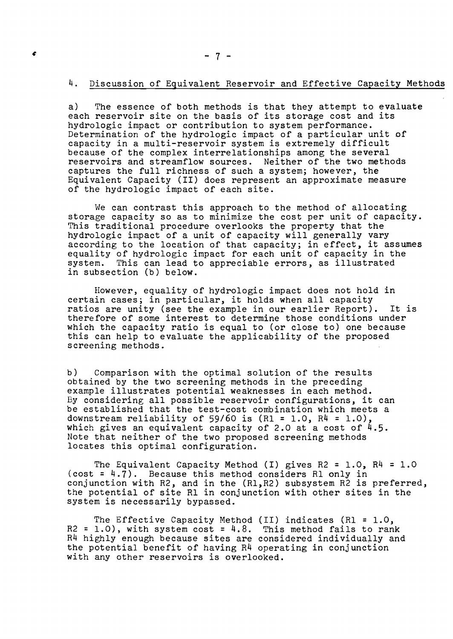#### 4. Discussion of Equivalent Reservoir and Effective Capacity Methods

a) The essence of both methods is that they attempt to evaluate each reservoir site on the basis of its storage cost and its hydrologic impact or contribution to system performance. Determination of the hydrologic impact of a particular unit of capacity in a multi-reservoir system is extremely difficult because of the complex interrelationships among the several reservoirs and streamflow sources. Neither of the two methods captures the full richness of such a system; however, the Equivalent Capacity (II) does represent an approximate measure of the hydrologic impact of each site.

We can contrast this approach to the method of allocating storage capacity so as to minimize the cost per unit of capacity. This traditional procedure overlooks the property that the hydrologic impact of a unit of capacity will generally vary according to the location of that capacity; in effect, it assumes equality of hydrologic impact for each unit of capacity in the system. This can lead to appreciable errors, as illustrated in subsection (b) below.

However, equality of hydrologic impact does not hold in certain cases; in particular, it holds when all capacity ratios are unity (see the example in our earlier Report). It is therefore of some interest to determine those conditions under which the capacity ratio is equal to (or close to) one because this can help to evaluate the applicability of the proposed screening methods.

b) Comparison with the optimal solution of the results obtained by the two screening methods in the preceding example illustrates potential weaknesses in each method. By considering all possible reservoir configurations, it can be established that the test-cost combination which meets a downstream reliability of 59/60 is  $(R1 = 1.0, R4 = 1.0)$ , which gives an equivalent capacity of 2.0 at a cost of  $4.5$ . Note that neither of the two proposed screening methods locates this optimal configuration.

The Equivalent Capacity Method (I) gives  $R2 = 1.0$ ,  $R4 = 1.0$  $(cost = 4.7)$ . Because this method considers R1 only in conjunction with R2, and in the (Rl,R2) subsystem R2 is preferred, the potential of site Rl in conjunction with other sites in the system is necessarily bypassed.

The Effective Capacity Method (II) indicates (R1 = 1.0,  $R2 = 1.0$ ), with system cost = 4.8. This method fails to rank  $R4$  highly enough because sites are considered individually and the potential benefit of having R4 operating in conjunction with any other reservoirs is overlooked.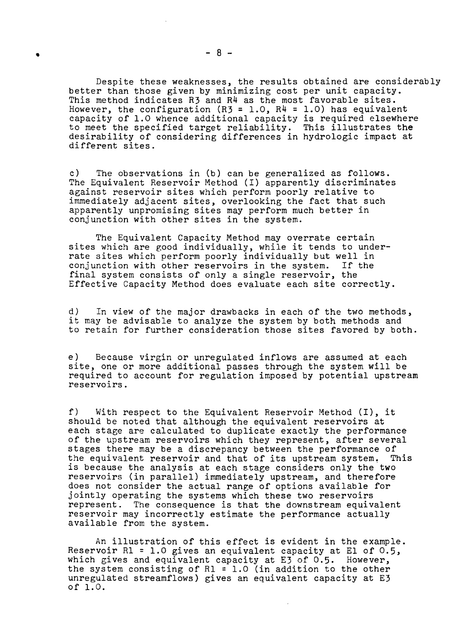Despite these weaknesses, the results obtained are considerably better than those given by minimizing cost per unit capacity. This method indicates R3 and R4 as the most favorable sites. However, the configuration (R3 = 1.0, R4 = 1.0) has equivalent capacity of 1.0 whence additional capacity is required elsewhere to meet the specified target reliability. This illustrates the desirability of considering differences in hydrologic impact at different sites.

c) The observations in (b) can be generalized as follows. The Equivalent Reservoir Method (I) apparently discriminates against reservoir sites which perform poorly relative to immediately adjacent sites, overlooking the fact that such apparently unpromising sites may perform much better in conjunction with other sites in the system.

The Equivalent Capacity Method may overrate certain sites which are good individually, while it tends to underrate sites which perform poorly individually but well in conjunction with other reservoirs in the system. If the conjunction with other reservoirs in the system. final system consists of only a single reservoir, the Effective Capacity Method does evaluate each site correctly.

d) In view of the major drawbacks in each of the two methods, it may be advisable to analyze the system by both methods and to retain for further consideration those sites favored by both.

e) Because virgin or unregulated inflows are assumed at each site, one or more additional passes through the system will be required to account for regulation imposed by potential upstream reservoirs.

f) With respect to the Equivalent Reservoir Method (I), it should be noted that although the equivalent reservoirs at each stage are calculated to duplicate exactly the performance of the upstream reservoirs which they represent, after several stages there may be a discrepancy between the performance of<br>the equivalent reservoir and that of its upstream system. This the equivalent reservoir and that of its upstream system. is because the analysis at each stage considers only the two reservoirs (in parallel) immediately upstream, and therefore does not consider the actual range of options available for jointly operating the systems which these two reservoirs represent. The consequence is that the downstream equivalent reservoir may incorrectly estimate the performance actually available from the system.

An illustration of this effect is evident in the example. Reservoir Rl = 1.0 gives an equivalent capacity at El of 0.5, which gives and equivalent capacity at E3 of 0.5. However, the system consisting of R1 = 1.0 (in addition to the other unregulated streamflows) gives an equivalent capacity at E3 of 1.0.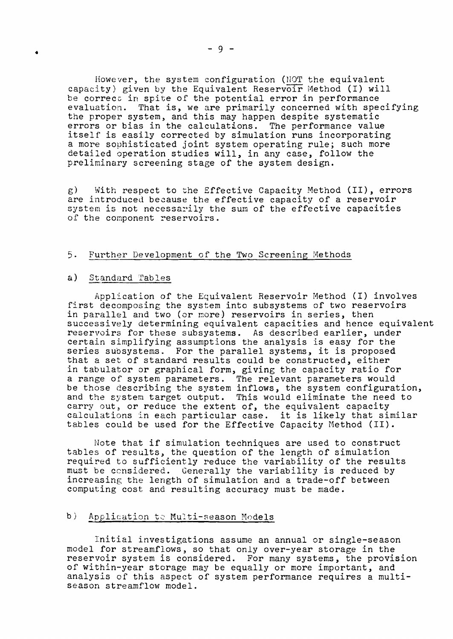However, the system configuration (NOT the equivalent capacity) given by the Equivalent Reservoir Method (I) will be correct in spite of the potential error in performance evaluation. That is, we are primarily concerned with specifying the proper system, and this may happen despite systematic errors or bias in the calculations. The performance value itself is easily corrected by simulation runs incorporating a more sophisticated joint system operating rule; such more detailed operation studies will, in any case, follow the preliminary screening stage of the system design.

g) With respect to the Effective Capacity Method (II), errors are introduced because the effective capacity of a reservoir are increased because one errecorte capacity or a reserver. of the component reservoirs.

## Further Development of the Two Screening Methods

# a) Standard Tables

Application of the Equivalent Reservoir Method (I) involves first decomposing the system into subsystems of two reservoirs in parallel and two (or more) reservoirs in series, then successively determining equivalent capacities and hence equivalent reservoirs for these subsystems. As described earlier, under certain simplifying assumptions the analysis is easy for the series subsystems. For the parallel systems, it is proposed that a set of standard results could be constructed, either in tabulator or graphical form, giving the capacity ratio for a range of system parameters. The relevant parameters would be those describing the system inflows, the system configuration, and the system target output. This would eliminate the need to carry out, or reduce the extent of, the equivalent capacity calculations in each particular case. it is likely that similar tables could be used for the Effective Capacity Method (II).

Note that if simulation techniques are used to construct tables of results, the question of the length of simulation required to sufficiently reduce the variability of the results must be ccnsidered. Generally the variability is reduced by increasing the length of simulation and a trade-off between computing cost and resulting accuracy must be made.

# b) Application te Multi-season Models

Initial investigations assume an annual or single-season model for streamflows, so that only over-year storage in the reservoir system is considered. For many systems, the provision of within-year storage may be equally or more important, and analysis of this aspect of system performance requires a multiseason streamflow model.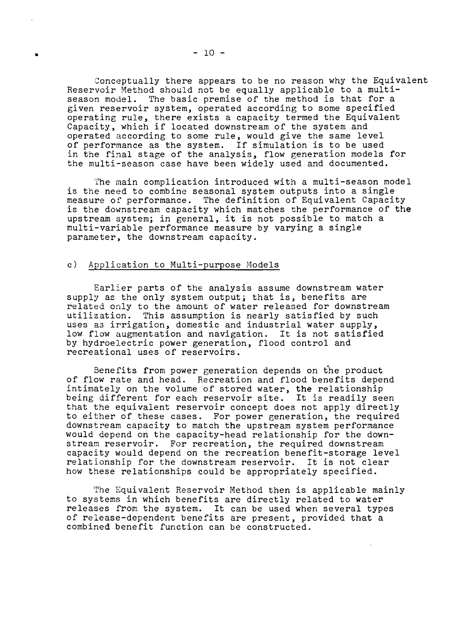Conceptually there appears to be no reason why the Equivalent Reservoir Method should not be equally applicable to a multi-<br>season model. The basic premise of the method is that for a The basic premise of the method is that for a given reservoir system, operated according to some specified operating rule, there exists a capacity termed the Equivalent Capacity, which if located downstream of the system and operated according to some rule, would give the same level of performance as the system. If simulation is to be used in the final stage of the analysis, flow generation models for the multi-season case have been widely used and documented.

The main complication introduced with a multi-season model is the need to combine seasonal system outputs into a single measure of performance. The definition of Equivalent Capacity is the downstream capacity which matches the performance of the upstream system; in general, it is not possible to match <sup>a</sup> multi-variable performance measure by varying a single parameter, the downstream capacity.

### c) Application to Multi-purpose Models

Earlier parts of the analysis assume downstream water supply as the only system output; that is, benefits are related only to the amount of water released for downstream utilization. This assumption is nearly satisfied by such uses as irrigation, domestic and industrial water supply, low flow augmentation and navigation. It is not satisfied by hydroelectric power generation, flood control and recreational uses of reservoirs.

Benefits from power generation depends on the product of flow rate and head. Recreation and flood benefits depend intimately on the volume of stored water, the relationship being different for each reservoir site. It is readily seen that the equivalent reservoir concept does not apply directly to either of these cases. For power generation, the required downstream capacity to match the upstream system performance would depend on the capacity-head relationship for the downstream reservoir. For recreation, the required downstream capacity would depend on the recreation benefit-storage level relationship for the downstream reservoir. It is not clear how these relationships could be appropriately specified.

The Equivalent Reservoir Method then is applicable mainly to systems in which benefits are directly related to water releases from the system. It can be used when several types of release-dependent benefits are present, provided that a combined benefit function can be constructed.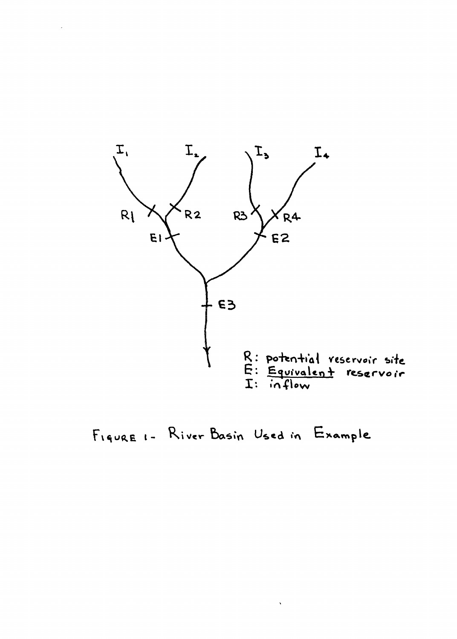

FIGURE 1- River Basin Used in Example